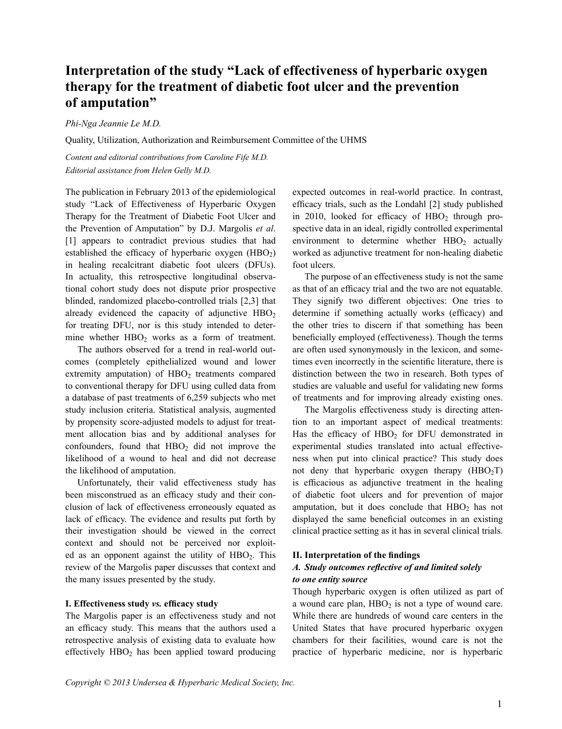# **Interpretation of the study "Lack of effectiveness of hyperbaric oxygen therapy for the treatment of diabetic foot ulcer and the prevention of amputation"**

*Phi-Nga Jeannie Le M.D.*

Quality, Utilization, Authorization and Reimbursement Committee of the UHMS

*Content and editorial contributions from Caroline Fife M.D. Editorial assistance from Helen Gelly M.D.*

The publication in February 2013 of the epidemiological study "Lack of Effectiveness of Hyperbaric Oxygen Therapy for the Treatment of Diabetic Foot Ulcer and the Prevention of Amputation" by D.J. Margolis *et al*. [1] appears to contradict previous studies that had established the efficacy of hyperbaric oxygen  $(HBO<sub>2</sub>)$ in healing recalcitrant diabetic foot ulcers (DFUs). In actuality, this retrospective longitudinal observational cohort study does not dispute prior prospective blinded, randomized placebo-controlled trials [2,3] that already evidenced the capacity of adjunctive  $HBO<sub>2</sub>$ for treating DFU, nor is this study intended to determine whether  $HBO<sub>2</sub>$  works as a form of treatment.

The authors observed for a trend in real-world outcomes (completely epithelialized wound and lower extremity amputation) of  $HBO<sub>2</sub>$  treatments compared to conventional therapy for DFU using culled data from a database of past treatments of 6,259 subjects who met study inclusion criteria. Statistical analysis, augmented by propensity score-adjusted models to adjust for treatment allocation bias and by additional analyses for confounders, found that  $HBO<sub>2</sub>$  did not improve the likelihood of a wound to heal and did not decrease the likelihood of amputation.

Unfortunately, their valid effectiveness study has been misconstrued as an efficacy study and their conclusion of lack of effectiveness erroneously equated as lack of efficacy. The evidence and results put forth by their investigation should be viewed in the correct context and should not be perceived nor exploited as an opponent against the utility of  $HBO<sub>2</sub>$ . This review of the Margolis paper discusses that context and the many issues presented by the study.

#### **I. Effectiveness study** *vs.* **efficacy study**

The Margolis paper is an effectiveness study and not an efficacy study. This means that the authors used a retrospective analysis of existing data to evaluate how effectively  $HBO<sub>2</sub>$  has been applied toward producing expected outcomes in real-world practice. In contrast, efficacy trials, such as the Londahl [2] study published in 2010, looked for efficacy of  $HBO<sub>2</sub>$  through prospective data in an ideal, rigidly controlled experimental environment to determine whether  $HBO<sub>2</sub>$  actually worked as adjunctive treatment for non-healing diabetic foot ulcers.

The purpose of an effectiveness study is not the same as that of an efficacy trial and the two are not equatable. They signify two different objectives: One tries to determine if something actually works (efficacy) and the other tries to discern if that something has been beneficially employed (effectiveness). Though the terms are often used synonymously in the lexicon, and sometimes even incorrectly in the scientific literature, there is distinction between the two in research. Both types of studies are valuable and useful for validating new forms of treatments and for improving already existing ones.

The Margolis effectiveness study is directing attention to an important aspect of medical treatments: Has the efficacy of  $HBO<sub>2</sub>$  for DFU demonstrated in experimental studies translated into actual effectiveness when put into clinical practice? This study does not deny that hyperbaric oxygen therapy  $(HBO<sub>2</sub>T)$ is efficacious as adjunctive treatment in the healing of diabetic foot ulcers and for prevention of major amputation, but it does conclude that  $HBO<sub>2</sub>$  has not displayed the same beneficial outcomes in an existing clinical practice setting as it has in several clinical trials.

#### **II. Interpretation of the findings**

# *A. Study outcomes reflective of and limited solely to one entity source*

Though hyperbaric oxygen is often utilized as part of a wound care plan,  $HBO<sub>2</sub>$  is not a type of wound care. While there are hundreds of wound care centers in the United States that have procured hyperbaric oxygen chambers for their facilities, wound care is not the practice of hyperbaric medicine, nor is hyperbaric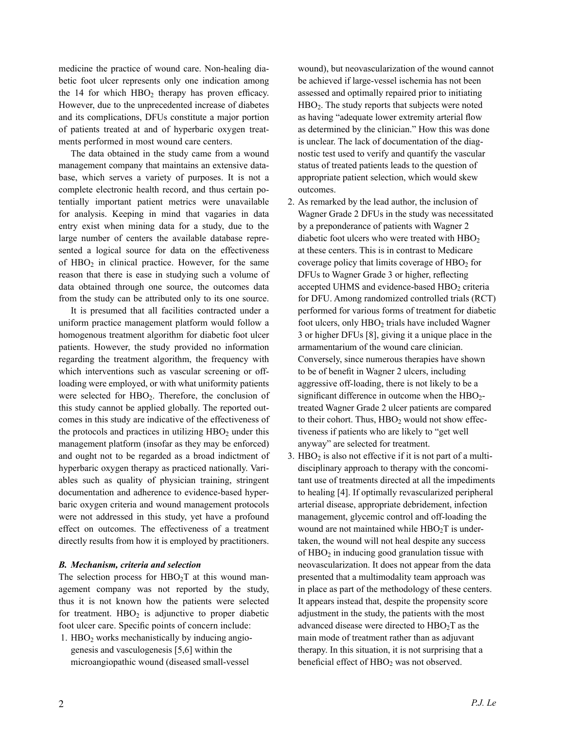medicine the practice of wound care. Non-healing diabetic foot ulcer represents only one indication among the  $14$  for which  $HBO<sub>2</sub>$  therapy has proven efficacy. However, due to the unprecedented increase of diabetes and its complications, DFUs constitute a major portion of patients treated at and of hyperbaric oxygen treatments performed in most wound care centers.

The data obtained in the study came from a wound management company that maintains an extensive database, which serves a variety of purposes. It is not a complete electronic health record, and thus certain potentially important patient metrics were unavailable for analysis. Keeping in mind that vagaries in data entry exist when mining data for a study, due to the large number of centers the available database represented a logical source for data on the effectiveness of  $HBO<sub>2</sub>$  in clinical practice. However, for the same reason that there is ease in studying such a volume of data obtained through one source, the outcomes data from the study can be attributed only to its one source.

It is presumed that all facilities contracted under a uniform practice management platform would follow a homogenous treatment algorithm for diabetic foot ulcer patients. However, the study provided no information regarding the treatment algorithm, the frequency with which interventions such as vascular screening or offloading were employed, or with what uniformity patients were selected for  $HBO<sub>2</sub>$ . Therefore, the conclusion of this study cannot be applied globally. The reported outcomes in this study are indicative of the effectiveness of the protocols and practices in utilizing  $HBO<sub>2</sub>$  under this management platform (insofar as they may be enforced) and ought not to be regarded as a broad indictment of hyperbaric oxygen therapy as practiced nationally. Variables such as quality of physician training, stringent documentation and adherence to evidence-based hyperbaric oxygen criteria and wound management protocols were not addressed in this study, yet have a profound effect on outcomes. The effectiveness of a treatment directly results from how it is employed by practitioners.

#### *B. Mechanism, criteria and selection*

The selection process for  $HBO<sub>2</sub>T$  at this wound management company was not reported by the study, thus it is not known how the patients were selected for treatment.  $HBO<sub>2</sub>$  is adjunctive to proper diabetic foot ulcer care. Specific points of concern include:

1.  $HBO<sub>2</sub>$  works mechanistically by inducing angio genesis and vasculogenesis [5,6] within the microangiopathic wound (diseased small-vessel

 wound), but neovascularization of the wound cannot be achieved if large-vessel ischemia has not been assessed and optimally repaired prior to initiating HBO<sub>2</sub>. The study reports that subjects were noted as having "adequate lower extremity arterial flow as determined by the clinician." How this was done is unclear. The lack of documentation of the diag nostic test used to verify and quantify the vascular status of treated patients leads to the question of appropriate patient selection, which would skew outcomes.

- 2. As remarked by the lead author, the inclusion of Wagner Grade 2 DFUs in the study was necessitated by a preponderance of patients with Wagner 2 diabetic foot ulcers who were treated with  $HBO<sub>2</sub>$ at these centers. This is in contrast to Medicare coverage policy that limits coverage of  $HBO<sub>2</sub>$  for DFUs to Wagner Grade 3 or higher, reflecting accepted UHMS and evidence-based  $HBO<sub>2</sub>$  criteria for DFU. Among randomized controlled trials (RCT) performed for various forms of treatment for diabetic foot ulcers, only  $HBO<sub>2</sub>$  trials have included Wagner 3 or higher DFUs [8], giving it a unique place in the armamentarium of the wound care clinician. Conversely, since numerous therapies have shown to be of benefit in Wagner 2 ulcers, including aggressive off-loading, there is not likely to be a significant difference in outcome when the  $HBO<sub>2</sub>$  treated Wagner Grade 2 ulcer patients are compared to their cohort. Thus,  $HBO<sub>2</sub>$  would not show effec tiveness if patients who are likely to "get well anyway" are selected for treatment.
- 3.  $HBO<sub>2</sub>$  is also not effective if it is not part of a multi disciplinary approach to therapy with the concomi tant use of treatments directed at all the impediments to healing [4]. If optimally revascularized peripheral arterial disease, appropriate debridement, infection management, glycemic control and off-loading the wound are not maintained while  $HBO<sub>2</sub>T$  is under taken, the wound will not heal despite any success of  $HBO<sub>2</sub>$  in inducing good granulation tissue with neovascularization. It does not appear from the data presented that a multimodality team approach was in place as part of the methodology of these centers. It appears instead that, despite the propensity score adjustment in the study, the patients with the most advanced disease were directed to  $HBO<sub>2</sub>T$  as the main mode of treatment rather than as adjuvant therapy. In this situation, it is not surprising that a beneficial effect of HBO<sub>2</sub> was not observed.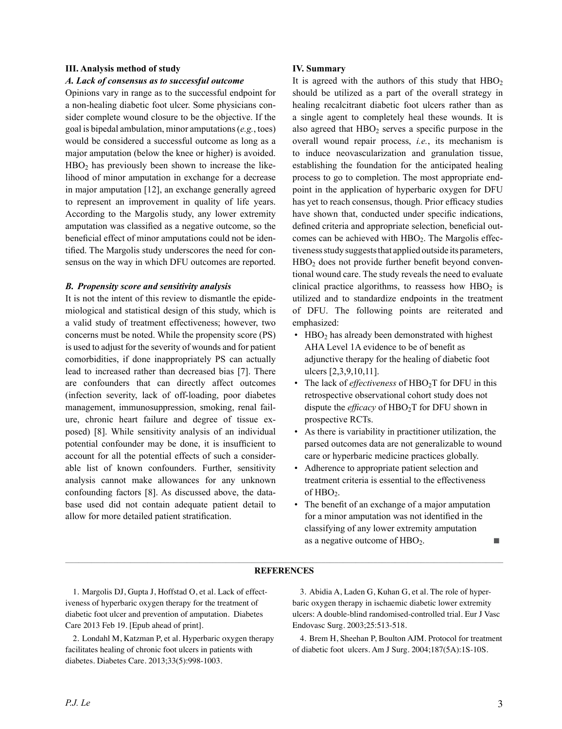# **III. Analysis method of study**

## *A. Lack of consensus as to successful outcome*

Opinions vary in range as to the successful endpoint for a non-healing diabetic foot ulcer. Some physicians consider complete wound closure to be the objective. If the goal is bipedal ambulation, minor amputations (*e.g.*, toes) would be considered a successful outcome as long as a major amputation (below the knee or higher) is avoided.  $HBO<sub>2</sub>$  has previously been shown to increase the likelihood of minor amputation in exchange for a decrease in major amputation [12], an exchange generally agreed to represent an improvement in quality of life years. According to the Margolis study, any lower extremity amputation was classified as a negative outcome, so the beneficial effect of minor amputations could not be identified. The Margolis study underscores the need for consensus on the way in which DFU outcomes are reported.

### *B. Propensity score and sensitivity analysis*

It is not the intent of this review to dismantle the epidemiological and statistical design of this study, which is a valid study of treatment effectiveness; however, two concerns must be noted. While the propensity score (PS) is used to adjust for the severity of wounds and for patient comorbidities, if done inappropriately PS can actually lead to increased rather than decreased bias [7]. There are confounders that can directly affect outcomes (infection severity, lack of off-loading, poor diabetes management, immunosuppression, smoking, renal failure, chronic heart failure and degree of tissue exposed) [8]. While sensitivity analysis of an individual potential confounder may be done, it is insufficient to account for all the potential effects of such a considerable list of known confounders. Further, sensitivity analysis cannot make allowances for any unknown confounding factors [8]. As discussed above, the database used did not contain adequate patient detail to allow for more detailed patient stratification.

# **IV. Summary**

It is agreed with the authors of this study that  $HBO<sub>2</sub>$ should be utilized as a part of the overall strategy in healing recalcitrant diabetic foot ulcers rather than as a single agent to completely heal these wounds. It is also agreed that  $HBO<sub>2</sub>$  serves a specific purpose in the overall wound repair process, *i.e.*, its mechanism is to induce neovascularization and granulation tissue, establishing the foundation for the anticipated healing process to go to completion. The most appropriate endpoint in the application of hyperbaric oxygen for DFU has yet to reach consensus, though. Prior efficacy studies have shown that, conducted under specific indications, defined criteria and appropriate selection, beneficial outcomes can be achieved with  $HBO<sub>2</sub>$ . The Margolis effectiveness study suggests that applied outside its parameters,  $HBO<sub>2</sub>$  does not provide further benefit beyond conventional wound care. The study reveals the need to evaluate clinical practice algorithms, to reassess how  $HBO<sub>2</sub>$  is utilized and to standardize endpoints in the treatment of DFU. The following points are reiterated and emphasized:

- HBO<sub>2</sub> has already been demonstrated with highest AHA Level 1A evidence to be of benefit as adjunctive therapy for the healing of diabetic foot ulcers [2,3,9,10,11].
- The lack of *effectiveness* of HBO<sub>2</sub>T for DFU in this retrospective observational cohort study does not dispute the *efficacy* of HBO<sub>2</sub>T for DFU shown in prospective RCTs.
- As there is variability in practitioner utilization, the parsed outcomes data are not generalizable to wound care or hyperbaric medicine practices globally.
- Adherence to appropriate patient selection and treatment criteria is essential to the effectiveness of HBO<sub>2</sub>.
- The benefit of an exchange of a major amputation for a minor amputation was not identified in the classifying of any lower extremity amputation as a negative outcome of  $HBO<sub>2</sub>$ .

### \_\_\_\_\_\_\_\_\_\_\_\_\_\_\_\_\_\_\_\_\_\_\_\_\_\_\_\_\_\_\_\_\_\_\_\_\_\_\_\_\_\_\_\_\_\_\_\_\_\_\_\_\_\_\_\_\_\_\_\_\_\_\_\_\_\_\_\_\_\_\_\_\_\_\_\_\_\_\_\_\_\_\_\_\_\_\_\_\_\_\_\_\_\_\_\_\_\_\_\_\_ **REFERENCES**

 1. Margolis DJ, Gupta J, Hoffstad O, et al. Lack of effectiveness of hyperbaric oxygen therapy for the treatment of diabetic foot ulcer and prevention of amputation. Diabetes Care 2013 Feb 19. [Epub ahead of print].

 2. Londahl M, Katzman P, et al. Hyperbaric oxygen therapy facilitates healing of chronic foot ulcers in patients with diabetes. Diabetes Care. 2013;33(5):998-1003.

 3. Abidia A, Laden G, Kuhan G, et al. The role of hyperbaric oxygen therapy in ischaemic diabetic lower extremity ulcers: A double-blind randomised-controlled trial. Eur J Vasc Endovasc Surg. 2003;25:513-518.

 4. Brem H, Sheehan P, Boulton AJM. Protocol for treatment of diabetic foot ulcers. Am J Surg. 2004;187(5A):1S-10S.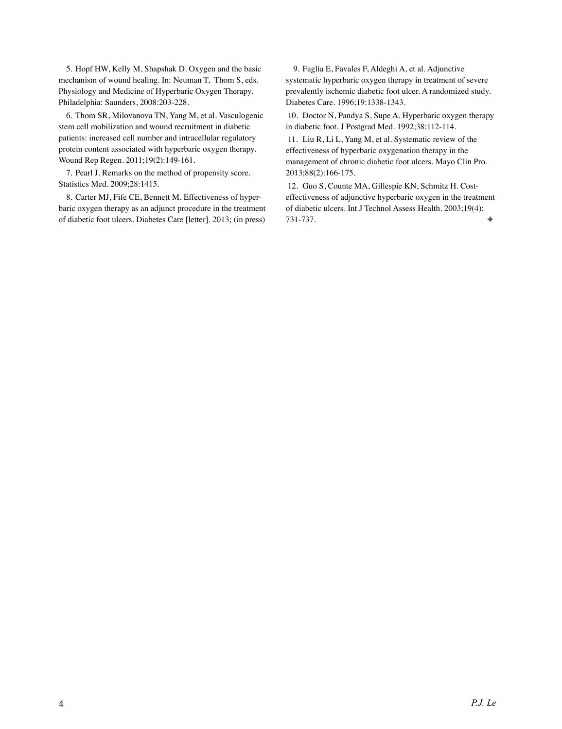5. Hopf HW, Kelly M, Shapshak D. Oxygen and the basic mechanism of wound healing. In: Neuman T, Thom S, eds. Physiology and Medicine of Hyperbaric Oxygen Therapy. Philadelphia: Saunders, 2008:203-228.

 6. Thom SR, Milovanova TN, Yang M, et al. Vasculogenic stem cell mobilization and wound recruitment in diabetic patients: increased cell number and intracellular regulatory protein content associated with hyperbaric oxygen therapy. Wound Rep Regen. 2011;19(2):149-161.

 7. Pearl J. Remarks on the method of propensity score. Statistics Med. 2009;28:1415.

 8. Carter MJ, Fife CE, Bennett M. Effectiveness of hyperbaric oxygen therapy as an adjunct procedure in the treatment of diabetic foot ulcers. Diabetes Care [letter]. 2013; (in press)

 9. Faglia E, Favales F, Aldeghi A, et al. Adjunctive systematic hyperbaric oxygen therapy in treatment of severe prevalently ischemic diabetic foot ulcer. A randomized study. Diabetes Care. 1996;19:1338-1343.

10. Doctor N, Pandya S, Supe A. Hyperbaric oxygen therapy in diabetic foot. J Postgrad Med. 1992;38:112-114.

11. Liu R, Li L, Yang M, et al. Systematic review of the effectiveness of hyperbaric oxygenation therapy in the management of chronic diabetic foot ulcers. Mayo Clin Pro. 2013;88(2):166-175.

12. Guo S, Counte MA, Gillespie KN, Schmitz H. Costeffectiveness of adjunctive hyperbaric oxygen in the treatment of diabetic ulcers. Int J Technol Assess Health. 2003;19(4): 731-737. ✦